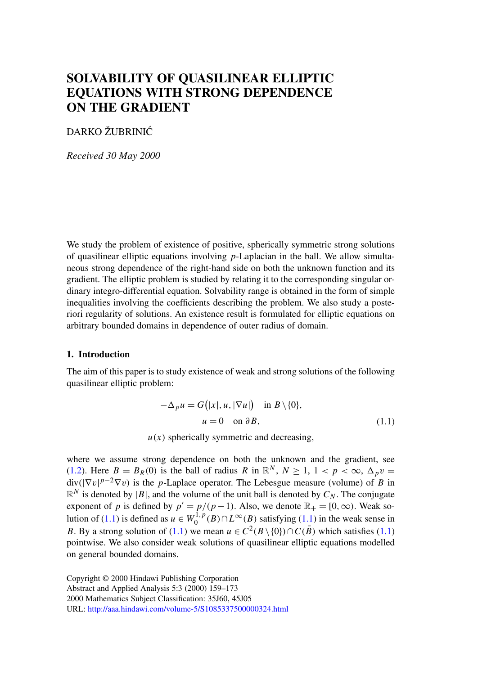# <span id="page-0-0"></span>**SOLVABILITY OF QUASILINEAR ELLIPTIC EQUATIONS WITH STRONG DEPENDENCE ON THE GRADIENT**

## DARKO ŽUBRINIC´

*Received 30 May 2000*

We study the problem of existence of positive, spherically symmetric strong solutions of quasilinear elliptic equations involving  $p$ -Laplacian in the ball. We allow simultaneous strong dependence of the right-hand side on both the unknown function and its gradient. The elliptic problem is studied by relating it to the corresponding singular ordinary integro-differential equation. Solvability range is obtained in the form of simple inequalities involving the coefficients describing the problem. We also study a posteriori regularity of solutions. An existence result is formulated for elliptic equations on arbitrary bounded domains in dependence of outer radius of domain.

#### **1. Introduction**

The aim of this paper is to study existence of weak and strong solutions of the following quasilinear elliptic problem:

$$
-\Delta_p u = G(|x|, u, |\nabla u|) \text{ in } B \setminus \{0\},
$$
  
 
$$
u = 0 \text{ on } \partial B,
$$
 (1.1)

 $u(x)$  spherically symmetric and decreasing,

where we assume strong dependence on both the unknown and the gradient, see (1.2). Here  $B = B_R(0)$  is the ball of radius R in  $\mathbb{R}^N$ ,  $N \ge 1$ ,  $1 < p < \infty$ ,  $\Delta_p v =$  $div(|\nabla v|^{p-2}\nabla v)$  is the p-Laplace operator. The Lebesgue measure (volume) of B in  $\mathbb{R}^N$  is denoted by |B|, and the volume of the unit ball is denoted by  $C_N$ . The conjugate exponent of p is defined by  $p' = p/(p-1)$ . Also, we denote  $\mathbb{R}_+ = [0, \infty)$ . Weak solution of (1.1) is defined as  $u \in W_0^{1,p}(B) \cap L^{\infty}(B)$  satisfying (1.1) in the weak sense in B. B[y a strong solution of \(1.1\) we mean](http://aaa.hindawi.com/volume-5/S1085337500000324.html)  $u \in C^2(B \setminus \{0\}) \cap C(\overline{B})$  which satisfies (1.1) pointwise. We also consider weak solutions of quasilinear elliptic equations modelled on general bounded domains.

Copyright © 2000 Hindawi Publishing Corporation Abstract and Applied Analysis 5:3 (2000) 159–173 2000 Mathematics Subject Classification: 35J60, 45J05 URL: http://aaa.hindawi.com/volume-5/S1085337500000324.html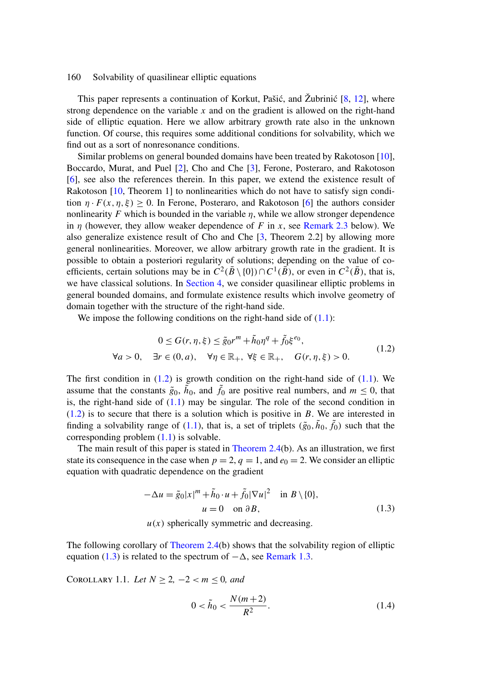<span id="page-1-0"></span>This paper represents a continuation of Korkut, Pašić, and Žubrinić  $[8, 12]$ , where strong depe[nde](#page-14-0)nce on the variable  $x$  and on the gradient is allowed on the right-hand side of elliptic equation. Here we allow arbitrary growth ra[te](#page-14-0) also in the unknown function. Of course, this requires some additional conditions for solvability, which we find out as a sort of nonresonance conditions.

Similar problems on general bounded domains [hav](#page-14-0)e been treated by Rakotoson [10], Boccardo, Murat, and Puel [2], Cho and Che [3], Ferone, Posteraro, and Rakotoson [6], see also the references therein. In this paper, we extend the existence result of Rakotoson [10, Theorem 1] to nonlinearities which do not have to satisfy sign condition  $\eta \cdot F(x, \eta, \xi) > 0$ . In Fer[one, Poster](#page-11-0)aro, and Rakotoson [6] the authors consider nonlinearity F which is bounded in the variable  $\eta$ , while we allow stronger dependence in  $\eta$  (however, they allow weaker dependence of F in x, see Remark 2.3 below). We also generalize existence result of Cho and Che [3, Theorem 2.[2\] b](#page-0-0)y allowing more general nonlinearities. Moreover, we allow arbitrary growth rate in the gradient. It is possible to obtain a posteriori regularity of solutions; depending on the value of coefficients, certain solutions may be in  $C^2(\overline{B} \setminus \{0\}) \cap C^1(\overline{B})$ , or even in  $C^2(\overline{B})$ , that is, we have classical solutions. In Section 4, we consider quasilinear elliptic problems in general bounded domains, and formulate existence results which involve ge[omet](#page-0-0)ry of domain together with the structure of the right-hand side.

We impose the followi[ng co](#page-0-0)nditions on the right-hand side of  $(1.1)$ :

$$
0 \le G(r, \eta, \xi) \le \tilde{g}_0 r^m + \tilde{h}_0 \eta^q + \tilde{f}_0 \xi^{e_0},
$$
  
\n
$$
\forall a > 0, \quad \exists r \in (0, a), \quad \forall \eta \in \mathbb{R}_+, \quad \forall \xi \in \mathbb{R}_+, \quad G(r, \eta, \xi) > 0.
$$
 (1.2)

The first con[dition](#page-5-0) in  $(1.2)$  is growth c[on](#page-5-0)dition on [the](#page-5-0) right-hand side of  $(1.1)$ . We assume that the constants  $\tilde{g}_0$ ,  $\tilde{h}_0$ , and  $\tilde{f}_0$  are positive real numbers, and  $m \le 0$ , that is, the right-hand side of  $(1.1)$  may be singular. The role of the second condition in  $(1.2)$  is to secure that there is a solution which is positive in B. We are interested in finding a solvability range of (1.1), that is, a set of triplets  $(\tilde{g}_0, \tilde{h}_0, \tilde{f}_0)$  such that the corresponding problem (1.1) is solvable.

The main result of this paper is stated in Theorem 2.4(b). As an illustration, we first state its consequence in the case when  $p = 2$ ,  $q = 1$ , and  $e_0 = 2$ . We consider an elliptic equation with quadratic de[pendence](#page-5-0) [on](#page-5-0) [t](#page-5-0)he gradient

$$
-\Delta u = \tilde{g}_0 |x|^m + \tilde{h}_0 \cdot u + \tilde{f}_0 |\nabla u|^2 \quad \text{in } B \setminus \{0\},
$$
  
 
$$
u = 0 \quad \text{on } \partial B,
$$
 (1.3)

 $u(x)$  spherically symmetric and decreasing.

The following corollary of Theorem 2.4(b) shows that the solvability region of elliptic equation (1.3) is related to the spectrum of  $-\Delta$ , see Remark 1.3.

COROLLARY 1.1. *Let*  $N \ge 2, −2 < m \le 0$ *, and* 

$$
0 < \tilde{h}_0 < \frac{N(m+2)}{R^2}.\tag{1.4}
$$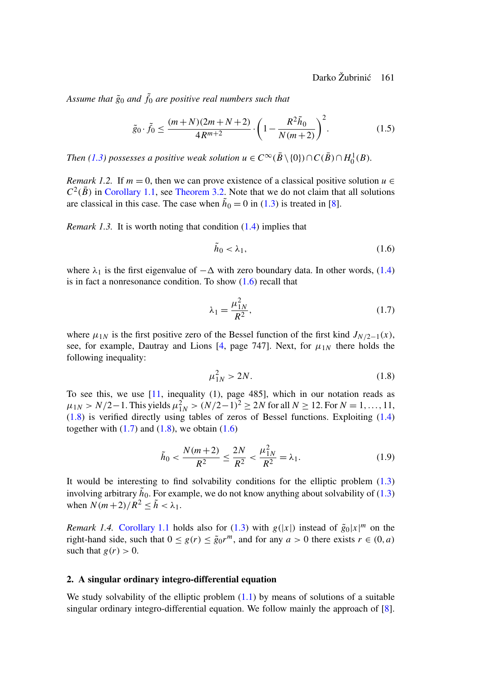Darko Žubrinić 161

<span id="page-2-0"></span>Assume that  $\tilde{g}_0$  and  $\tilde{f}_0$  are positive real numbers such that

$$
\tilde{g}_0 \cdot \tilde{f}_0 \le \frac{(m+N)(2m+N+2)}{4R^{m+2}} \cdot \left(1 - \frac{R^2 \tilde{h}_0}{N(m+2)}\right)^2. \tag{1.5}
$$

*Then* (1.3) possesses a positive weak solution  $u \in C^{\infty}(\bar{B} \setminus \{0\}) \cap C(\bar{B}) \cap H_0^1(B)$ .

*Remark 1.2.* If  $m = 0$ , then we can prove existence of a classical positive solution  $u \in$  $C^2(\overline{B})$  in Corollary 1.1, see Theorem 3.2. Note that we do not claim that all solu[tions](#page-1-0) are classical in this case. The case when  $\tilde{h}_0 = 0$  in (1.3) is treated in [8].

*Remark 1.3.* It is worth noting that condition (1.4) implies that

$$
\tilde{h}_0 < \lambda_1,\tag{1.6}
$$

where  $\lambda_1$  is the first eigenvalue of  $-\Delta$  [wi](#page-14-0)th zero boundary data. In other words, (1.4) is in fact a nonresonance condition. To show  $(1.6)$  recall that

$$
\lambda_1 = \frac{\mu_{1N}^2}{R^2},
$$
\n(1.7)

where  $\mu_{1N}$  is the first positive zero of the Bessel function of the first kind  $J_{N/2-1}(x)$  $J_{N/2-1}(x)$ , see, for example, Dautray and Lions [4, page 747]. Next, for  $\mu_{1N}$  there holds the following inequality:

$$
\mu_{1N}^2 > 2N. \tag{1.8}
$$

To see this, we use [11, inequality (1), page 485], which in our notation reads as  $\mu_{1N} > N/2 - 1$ . This yields  $\mu_{1N}^2 > (N/2 - 1)^2 \ge 2N$  for all  $N \ge 12$ . For  $N = 1, ..., 11$ , (1.8) is verified directly using tables of zeros of Bessel functions. Exploiting [\(1.4\)](#page-1-0) together with  $(1.7)$  and  $(1.8)$ , we obtain  $(1.6)$ 

$$
\tilde{h}_0 < \frac{N(m+2)}{R^2} \le \frac{2N}{R^2} < \frac{\mu_{1N}^2}{R^2} = \lambda_1. \tag{1.9}
$$

It would be interesting to find solvability conditions for the elliptic problem (1.3) involving arbitrary  $\tilde{h}_0$ . For example, we do not know anything about solvability of (1.3) when  $N(m+2)/R^2 \leq \tilde{h} < \lambda_1$ .

*Remark 1.4.* Corollary 1.1 holds also for (1.3) with  $g(|x|)$  instead of  $\tilde{g}_0|x|^m$  on [th](#page-14-0)e right-hand side, such that  $0 \leq g(r) \leq \tilde{g}_0 r^m$ , and for any  $a > 0$  there exists  $r \in (0, a)$ such that  $g(r) > 0$ .

#### **2. A singular ordinary integro-differential equation**

We study solvability of the elliptic problem  $(1.1)$  by means of solutions of a suitable singular ordinary integro-differential equation. We follow mainly the approach of [8].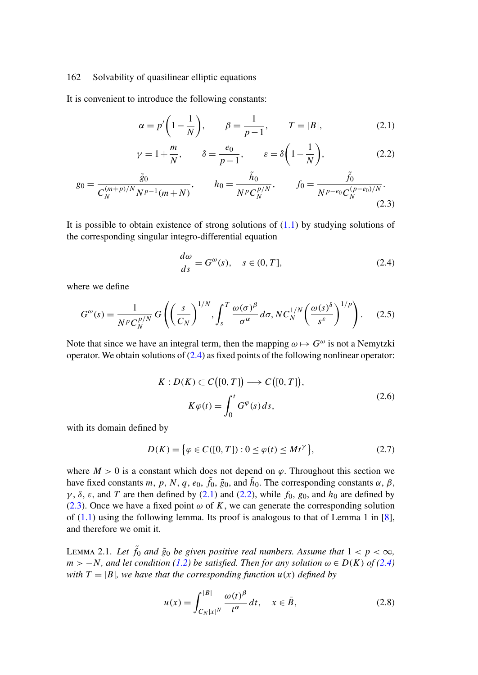<span id="page-3-0"></span>It is convenient to introduce the following constants:

$$
\alpha = p' \left( 1 - \frac{1}{N} \right), \qquad \beta = \frac{1}{p - 1}, \qquad T = |B|,
$$
\n(2.1)

$$
\gamma = 1 + \frac{m}{N}, \qquad \delta = \frac{e_0}{p - 1}, \qquad \varepsilon = \delta \left( 1 - \frac{1}{N} \right), \tag{2.2}
$$

$$
g_0 = \frac{\tilde{g}_0}{C_N^{(m+p)/N} N^{p-1} (m+N)}, \qquad h_0 = \frac{\tilde{h}_0}{N^p C_N^{p/N}}, \qquad f_0 = \frac{\tilde{f}_0}{N^{p-e_0} C_N^{(p-e_0)/N}}.
$$
\n(2.3)

It is possible to obtain existence of strong solutions of  $(1.1)$  by studying solutions of the corresponding singular integro-differential equation

$$
\frac{d\omega}{ds} = G^{\omega}(s), \quad s \in (0, T], \tag{2.4}
$$

where we define

$$
G^{\omega}(s) = \frac{1}{N^p C_N^{p/N}} G\left(\left(\frac{s}{C_N}\right)^{1/N}, \int_s^T \frac{\omega(\sigma)^{\beta}}{\sigma^{\alpha}} d\sigma, NC_N^{1/N}\left(\frac{\omega(s)^{\delta}}{s^{\varepsilon}}\right)^{1/p}\right). \tag{2.5}
$$

Note that since we have an integral term, then the mapping  $\omega \mapsto G^{\omega}$  is not a Nemytzki operator. We obtain solutions of  $(2.4)$  as fixed points of the following nonlinear operator:

$$
K: D(K) \subset C([0, T]) \longrightarrow C([0, T]),
$$
  
\n
$$
K\varphi(t) = \int_0^t G^{\varphi}(s) ds,
$$
\n(2.6)

with its domain defined by

$$
D(K) = \{ \varphi \in C([0, T]) : 0 \le \varphi(t) \le Mt^{\gamma} \},
$$
\n(2.7)

where  $M > 0$  is a constant which does not depend on  $\varphi$ . Throughout this section we have fixed constants m, p, N, [q](#page-1-0), e<sub>0</sub>,  $\tilde{f}_0$ ,  $\tilde{g}_0$ , and  $\tilde{h}_0$ . The corresponding constants  $\alpha$ ,  $\beta$ ,  $\gamma$ ,  $\delta$ ,  $\varepsilon$ , and T are then defined by (2.1) and (2.2), while  $f_0$ ,  $g_0$ , and  $h_0$  are defined by (2.3). Once we have a fixed point  $\omega$  of K, we can generate the corresponding solution of (1.1) using the following lemma. Its proof is analogous to that of Lemma 1 in [8], and therefore we omit it.

LEMMA 2.1. Let  $\tilde{f}_0$  and  $\tilde{g}_0$  be given positive real numbers. Assume that  $1 < p < \infty$ ,  $m > -N$ , and let condition (1.2) be satisfied. Then for any solution  $\omega \in D(K)$  of (2.4) *with*  $T = |B|$ *, we have that the corresponding function*  $u(x)$  *defined by* 

$$
u(x) = \int_{C_N |x|^N}^{|B|} \frac{\omega(t)^{\beta}}{t^{\alpha}} dt, \quad x \in \bar{B}, \tag{2.8}
$$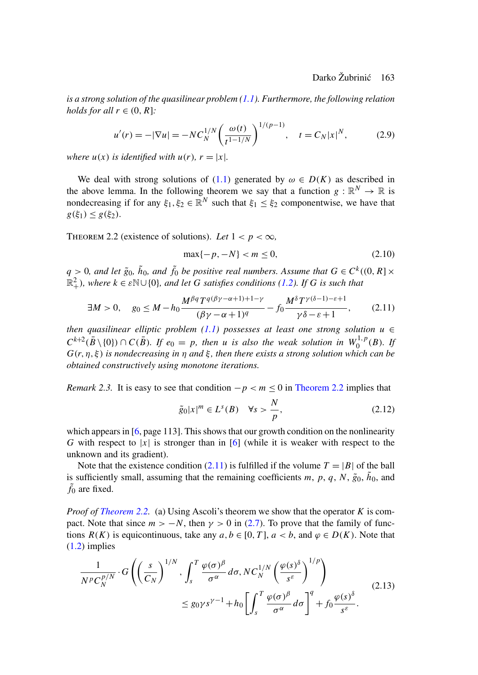<span id="page-4-0"></span>*is a strong solution of the quasilinear p[roble](#page-0-0)m (1.1). Furthermore, the following relation holds for all*  $r \in (0, R]$ *:* 

$$
u'(r) = -|\nabla u| = -NC_N^{1/N} \left(\frac{\omega(t)}{t^{1-1/N}}\right)^{1/(p-1)}, \quad t = C_N |x|^N, \tag{2.9}
$$

*where*  $u(x)$  *is identified with*  $u(r)$ *,*  $r = |x|$ *.* 

We deal with strong solutions of (1.1) generated by  $\omega \in D(K)$  as described in the above lemma. In the following theorem we say that a function  $g : \mathbb{R}^N \to \mathbb{R}$  is nondecreasing if for any  $\xi_1, \xi_2 \in \mathbb{R}^N$  such that  $\xi_1 \leq \xi_2$  [com](#page-1-0)ponentwise, we have that  $g(\xi_1) \leq g(\xi_2)$ .

THEOREM 2.2 (existence of solutions). Let  $1 < p < \infty$ ,

$$
\max\{-p, -N\} < m \le 0,\tag{2.10}
$$

 $q > 0$ , and let  $\tilde{g}_0$ ,  $\tilde{h}_0$ , and  $\tilde{f}_0$  be positive real numbers. Assume that  $G \in C^k((0,R] \times$  $\mathbb{R}^2_+$ ), where  $k \in \mathbb{S} \cup \{0\}$ , and let G satisfies conditions (1.2). If G is such that

$$
\exists M > 0, \quad g_0 \le M - h_0 \frac{M^{\beta q} T^{q(\beta \gamma - \alpha + 1) + 1 - \gamma}}{(\beta \gamma - \alpha + 1)^q} - f_0 \frac{M^{\delta} T^{\gamma(\delta - 1) - \varepsilon + 1}}{\gamma \delta - \varepsilon + 1}, \quad (2.11)
$$

*then quasilinear elliptic problem (1.1) possesses at least one strong solution*  $u \in$  $C^{k+2}(\overline{B} \setminus \{0\}) \cap C(\overline{B})$ *. If*  $e_0 = p$ *, then* u *is also the weak solution in*  $W_0^{1,p}(B)$ *. If*  $G(r, \eta, \xi)$  *is nond[ec](#page-14-0)reasing in*  $\eta$  *and*  $\xi$ , *then there exists a strong solution which can be obtained constructively using monotone ite[ra](#page-14-0)tions.*

*Remark 2.3.* It is easy to see that condition  $-p < m \le 0$  in Theorem 2.2 implies that

$$
\tilde{g}_0|x|^m \in L^s(B) \quad \forall s > \frac{N}{p},\tag{2.12}
$$

which appears in [6, page 113]. This shows that our growth condition on the nonlinearity G with respect to |x| is stronger than in [6] ([whi](#page-3-0)le it is weaker with respect to the unknown and its gradient).

[N](#page-1-0)ote that the existence condition (2.11) is fulfilled if the volume  $T = |B|$  of the ball is sufficiently small, assuming that the remaining coefficients m, p, q, N,  $\tilde{g}_0$ ,  $\tilde{h}_0$ , and  $\tilde{f}_0$  are fixed.

*Proof of Theorem 2.2.* (a) Using Ascoli's theorem we show that the operator K is compact. Note that since  $m > -N$ , then  $\gamma > 0$  in (2.7). To prove that the family of functions  $R(K)$  is equicontinuous, take any  $a, b \in [0, T]$ ,  $a < b$ , and  $\varphi \in D(K)$ . Note that (1.2) implies

$$
\frac{1}{N^p C_N^{p/N}} \cdot G\left( \left( \frac{s}{C_N} \right)^{1/N}, \int_s^T \frac{\varphi(\sigma)^\beta}{\sigma^\alpha} d\sigma, NC_N^{1/N} \left( \frac{\varphi(s)^\delta}{s^\varepsilon} \right)^{1/p} \right) \leq g_0 \gamma s^{\gamma - 1} + h_0 \left[ \int_s^T \frac{\varphi(\sigma)^\beta}{\sigma^\alpha} d\sigma \right]^q + f_0 \frac{\varphi(s)^\delta}{s^\varepsilon}.
$$
\n(2.13)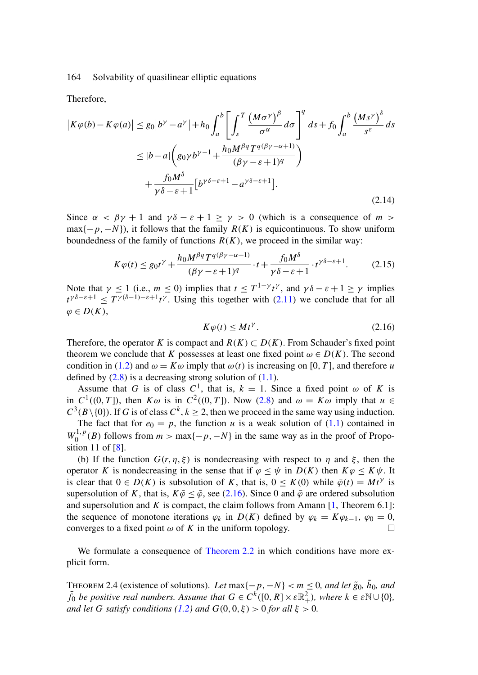<span id="page-5-0"></span>Therefore,

$$
\left| K\varphi(b) - K\varphi(a) \right| \le g_0 \left| b^{\gamma} - a^{\gamma} \right| + h_0 \int_a^b \left[ \int_s^T \frac{\left( M\sigma^{\gamma} \right)^{\beta}}{\sigma^{\alpha}} d\sigma \right]^q ds + f_0 \int_a^b \frac{\left( M s^{\gamma} \right)^{\delta}}{s^{\varepsilon}} ds
$$
  

$$
\le \left| b - a \right| \left( g_0 \gamma b^{\gamma - 1} + \frac{h_0 M^{\beta q} T^{q(\beta \gamma - \alpha + 1)}}{(\beta \gamma - \varepsilon + 1)^q} \right)
$$
  

$$
+ \frac{f_0 M^{\delta}}{\gamma \delta - \varepsilon + 1} \left[ b^{\gamma \delta - \varepsilon + 1} - a^{\gamma \delta - \varepsilon + 1} \right].
$$
 (2.14)

Since  $\alpha < \beta \gamma + 1$  and  $\gamma \delta - \varepsilon + 1 \ge \gamma > 0$  (wh[ich is](#page-4-0) a consequence of m >  $\max\{-p,-N\}$ , it follows that the family  $R(K)$  is equicontinuous. To show uniform boundedness of the family of functions  $R(K)$ , we proceed in the similar way:

$$
K\varphi(t) \le g_0 t^{\gamma} + \frac{h_0 M^{\beta q} T^{q(\beta \gamma - \alpha + 1)}}{(\beta \gamma - \varepsilon + 1)^q} \cdot t + \frac{f_0 M^{\delta}}{\gamma \delta - \varepsilon + 1} \cdot t^{\gamma \delta - \varepsilon + 1}.
$$
 (2.15)

Note that  $\gamma \le 1$  (i.e.,  $m \le 0$ ) implies that  $t \le T^{1-\gamma}t^{\gamma}$ , and  $\gamma \delta - \varepsilon + 1 \ge \gamma$  implies  $t^{\gamma \delta - \varepsilon + 1} \leq T^{\gamma (\delta - 1) - \varepsilon + 1} t^{\gamma}$ . Using this together w[ith \(](#page-0-0)2.11) we conclude that for all  $\varphi \in D(K),$ 

$$
K\varphi(t) \le Mt^\gamma. \tag{2.16}
$$

Therefore, the operator K is compact and  $R(K) \subset D(K)$ . From Sch[aude](#page-0-0)r's fixed point theorem we conclude that K possesses at least one fixed point  $\omega \in D(K)$ . The second condition in [\(1](#page-14-0).2) and  $\omega = K\omega$  imply that  $\omega(t)$  is increasing on [0, T], and therefore u defined by  $(2.8)$  is a decreasing strong solution of  $(1.1)$ .

Assume that G is of class  $C^1$ , that is,  $k = 1$ . Since a fixed point  $\omega$  of K is in  $C^1((0,T])$ , then  $K\omega$  is in  $C^2((0,T])$ . Now (2.8) and  $\omega = K\omega$  imply that  $u \in$  $C^3(B\setminus\{0\})$ . If G is of class  $C^k$ ,  $k \geq 2$ , then we proceed in the same way using induction.

The fact that for  $e_0 = p$ , the function u is a weak solution of ([1.1](#page-14-0)) contained in  $W_0^{1,p}(B)$  follows from  $m > \max\{-p, -N\}$  in the same way as in the proof of Proposition 11 of [8].

(b) If the function  $G(r, \eta, \xi)$  is nondecreasing with respect to  $\eta$  and  $\xi$ , then the operator K is nondecreasing in the [sense that if](#page-4-0)  $\varphi \leq \psi$  in  $D(K)$  then  $K\varphi \leq K\psi$ . It is clear that  $0 \in D(K)$  is subsolution of K, that is,  $0 \leq K(0)$  while  $\bar{\varphi}(t) = Mt^{\gamma}$  is supersolution of K, that is,  $K\overline{\varphi} \leq \overline{\varphi}$ , see (2.16). Since 0 and  $\overline{\varphi}$  are ordered subsolution and supersolution and K is compact, the claim follows from Amann  $[1,$  Theorem 6.1]: the sequence of monotone iterations  $\varphi_k$  in  $D(K)$  defined by  $\varphi_k = K\varphi_{k-1}, \varphi_0 = 0$ , converges to a fixed point  $\omega$  [of](#page-1-0) K in the uniform topology.

We formulate a consequence of Theorem 2.2 in which conditions have more explicit form.

THEOREM 2.4 (existence of solutions). Let max $\{-p, -N\} < m \leq 0$ *, and let*  $\tilde{g}_0$ *,*  $\tilde{h}_0$ *<i>, and*  $\tilde{f}_0$  *be positive real numbers. Assume that*  $G \in C^k([0, R] \times \varepsilon \mathbb{R}^2_+)$ *, where*  $k \in \varepsilon \mathbb{N} \cup \{0\}$ *, and let* G *satisfy conditions* (1.2) and  $G(0,0,\xi) > 0$  *for all*  $\xi > 0$ *.*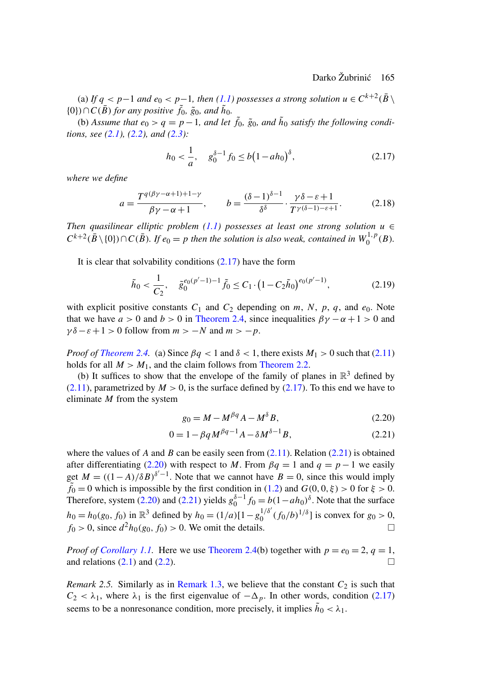<span id="page-6-0"></span>(a) If  $q < p-1$  and  $e_0 < p-1$ , then (1.1) possesses a strong solution  $u \in C^{k+2}(\overline{B} \setminus \overline{B})$  $\{0\}$ )  $\cap C(\bar{B})$  *for any positive*  $\tilde{f}_0$ *,*  $\tilde{g}_0$ *<i>, and*  $\tilde{h}_0$ *.* 

(b) Assume that  $e_0 > q = p - 1$ , and let  $\tilde{f}_0$ ,  $\tilde{g}_0$ , and  $\tilde{h}_0$  satisfy the following condi*tions, see (2.1), (2.2), and (2.3):*

$$
h_0 < \frac{1}{a}, \quad g_0^{\delta - 1} f_0 \le b \left( 1 - a h_0 \right)^{\delta},\tag{2.17}
$$

*where we define*

$$
a = \frac{T^{q(\beta\gamma - \alpha + 1) + 1 - \gamma}}{\beta\gamma - \alpha + 1}, \qquad b = \frac{(\delta - 1)^{\delta - 1}}{\delta^{\delta}} \cdot \frac{\gamma \delta - \varepsilon + 1}{T^{\gamma(\delta - 1) - \varepsilon + 1}}.
$$
 (2.18)

*Then quasilinear elliptic problem (1.1) possesses at least one strong solution*  $u$  ∈  $C^{k+2}(\bar{B} \setminus \{0\}) \cap C(\bar{B})$ *. If*  $e_0 = p$  t[hen the solutio](#page-5-0)n is also weak, contained in  $W_0^{1,p}(B)$ *.* 

It is clear that solvability conditions  $(2.17)$  have the form

$$
\tilde{h}_0 < \frac{1}{C_2}, \quad \tilde{g}_0^{e_0(p'-1)-1} \tilde{f}_0 \le C_1 \cdot \left(1 - C_2 \tilde{h}_0\right)^{e_0(p'-1)},\tag{2.19}
$$

[with](#page-4-0) explicit positive constants  $C_1$  and  $C_2$  depending on m, N, p, q, and  $e_0$ . Note that we have  $a > 0$  and  $b > 0$  in Theorem 2.4, since inequalities  $\beta \gamma - \alpha + 1 > 0$  and  $\gamma \delta - \varepsilon + 1 > 0$  follow from  $m > -N$  and  $m > -p$ .

*Proof of Theorem 2.4.* (a) Since  $\beta q < 1$  and  $\delta < 1$ , there exists  $M_1 > 0$  such that (2.11) holds for all  $M > M_1$ , and the claim follows from Theorem 2.2.

(b) It suffices to show that the envelope of the f[amily](#page-4-0) of planes in  $\mathbb{R}^3$  defined by  $(2.11)$ , parametrized by  $M > 0$ , is the surface defined by  $(2.17)$ . To this end we have to eliminate  $M$  from the system

$$
g_0 = M - M^{\beta q} A - M^{\delta} B,\tag{2.20}
$$

$$
0 = 1 - \beta q M^{\beta q - 1} A - \delta M^{\delta - 1} B, \tag{2.21}
$$

where the values of A and B can be easily seen from  $(2.11)$ . Relation  $(2.21)$  is obtained after differentiating (2.20) with respect to M. From  $\beta q = 1$  and  $q = p - 1$  we easily get  $M = ((1 - A)/\delta B)^{\delta'-1}$ . Note th[at](#page-5-0) [we](#page-5-0) [cannot](#page-5-0) [h](#page-5-0)ave  $B = 0$ , since this would imply  $\tilde{f}_0 = 0$  which [is](#page-3-0) [im](#page-3-0)poss[ible](#page-3-0) by the first condition in (1.2) and  $G(0,0,\xi) > 0$  for  $\xi > 0$ . Therefore, system (2.20) and [\(2.21\) yields](#page-2-0)  $g_0^{\delta-1} f_0 = b(1 - ah_0)^{\delta}$ . Note that the surface  $h_0 = h_0(g_0, f_0)$  in  $\mathbb{R}^3$  defined by  $h_0 = (1/a)[1 - g_0^{1/\delta'}(f_0/b)^{1/\delta}]$  is convex for  $g_0 > 0$ ,  $f_0 > 0$ , since  $d^2h_0(g_0, f_0) > 0$ . We omit the details.

*Proof of Corollary 1.1.* Here we use Theorem 2.4(b) together with  $p = e_0 = 2$ ,  $q = 1$ , and relations (2.1) and (2.2).

*Remark 2.5.* Similarly as in Remark 1.3, we believe that the constant  $C_2$  is such that  $C_2 < \lambda_1$ , where  $\lambda_1$  is the first eigenvalue of  $-\Delta_p$ . In other words, condition (2.17) seems to be a nonresonance condition, more precisely, it implies  $\tilde{h}_0 < \lambda_1$ .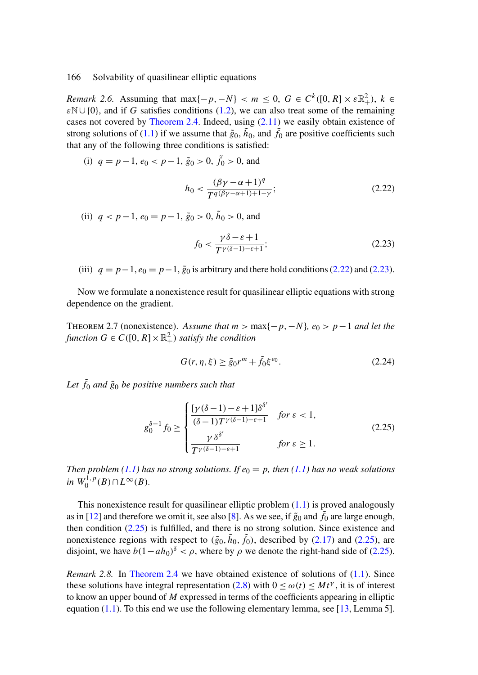*Remark 2.6.* Assuming that  $\max\{-p, -N\} < m \leq 0$ ,  $G \in C^k([0, R] \times \varepsilon \mathbb{R}^2_+)$ ,  $k \in$ εN∪{0}, and if G satisfies conditions (1.2), we can also treat some of the remaining cases not covered by Theorem 2.4. Indeed, using (2.11) we easily obtain existence of strong solutions of (1.1) if we assume that  $\tilde{g}_0$ ,  $\tilde{h}_0$ , and  $\tilde{f}_0$  are positive coefficients such that any of the following three conditions is satisfied:

(i)  $q = p - 1$ ,  $e_0 < p - 1$ ,  $\tilde{g}_0 > 0$ ,  $\tilde{f}_0 > 0$ , and

$$
h_0 < \frac{(\beta \gamma - \alpha + 1)^q}{T^q (\beta \gamma - \alpha + 1) + 1 - \gamma};\tag{2.22}
$$

(ii)  $q < p-1$ ,  $e_0 = p-1$ ,  $\tilde{g}_0 > 0$ ,  $\tilde{h}_0 > 0$ , and

$$
f_0 < \frac{\gamma \delta - \varepsilon + 1}{T^{\gamma(\delta - 1) - \varepsilon + 1}};\tag{2.23}
$$

(iii)  $q = p-1$ ,  $e_0 = p-1$ ,  $\tilde{g}_0$  is arbitrary and there hold conditions (2.22) and (2.23).

Now we formulate a nonexistence result for quasilinear elliptic equations with strong dependence on the gradient.

THEOREM 2.7 (nonexistence). Assume that  $m > \max\{-p, -N\}$ ,  $e_0 > p-1$  and let the  $function G \in C([0, R] \times \mathbb{R}^2_+)$  *satisfy the condition* 

$$
G(r, \eta, \xi) \ge \tilde{g}_0 r^m + \tilde{f}_0 \xi^{e_0}.
$$
\n
$$
(2.24)
$$

Let  $\tilde{f}_0$  and  $\tilde{g}_0$  [be p](#page-0-0)ositive numbers such that

$$
g_0^{\delta-1} f_0 \ge \begin{cases} \frac{[\gamma(\delta-1) - \varepsilon + 1]\delta^{\delta'}}{(\delta-1)T^{\gamma(\delta-1)-\varepsilon+1}} & \text{for } \varepsilon < 1, \\ \frac{\gamma \delta^{\delta'}}{T^{\gamma(\delta-1)-\varepsilon+1}} & \text{for } \varepsilon \ge 1. \end{cases}
$$
(2.25)

*Then problem (1.1) [has](#page-6-0) [no](#page-6-0) strong solutions. If*  $e_0 = p$ , *then (1.1) has no weak solutions in*  $W_0^{1,p}(B) \cap L^{\infty}(B)$ *.* 

This nonexistence result for quasilinear e[llipt](#page-3-0)ic problem  $(1.1)$  is proved analogously as in [12] and therefore we omit it, see also [8]. As we see, if  $\tilde{g}_0$  and  $\tilde{f}_0$  are large enough, then con[dition](#page-0-0)  $(2.25)$  is fulfilled, and there is no strong solution. Sinc[e ex](#page-14-0)istence and nonexistence regions with respect to  $(\tilde{g}_0, \tilde{h}_0, \tilde{f}_0)$ , described by (2.17) and (2.25), are disjoint, we have  $b(1-ah_0)^{\delta} < \rho$ , where by  $\rho$  we denote the right-hand side of (2.25).

*Remark 2.8.* In Theorem 2.4 we have obtained existence of solutions of (1.1). Since these solutions have integral representation (2.8) with  $0 \le \omega(t) \le Mt^{\gamma}$ , it is of interest to know an upper bound of  $M$  expressed in terms of the coefficients appearing in elliptic equation  $(1.1)$ . To this end we use the following elementary lemma, see [13, Lemma 5].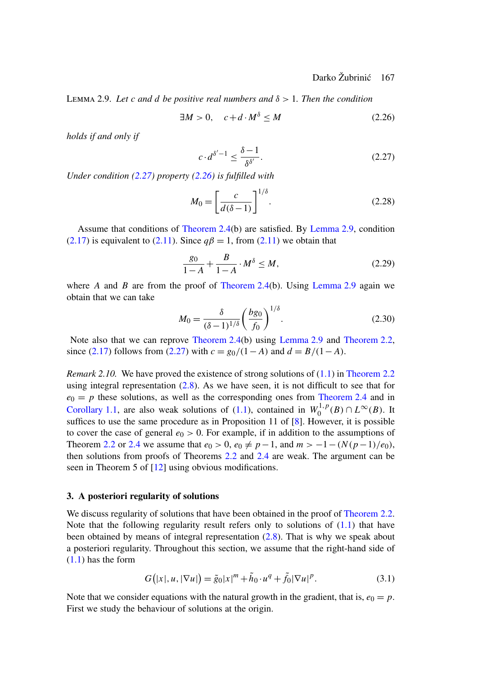<span id="page-8-0"></span>Lemma 2.9. *Let* c *and* d *be positive real numbers and* δ > 1*. Then the condition*

$$
\exists M > 0, \quad c + d \cdot M^{\delta} \le M \tag{2.26}
$$

*holds if and only if*

$$
c \cdot d^{\delta'-1} \le \frac{\delta - 1}{\delta^{\delta'}}.\tag{2.27}
$$

*Under condition (2.27) property (2.26) is fulfilled with*

$$
M_0 = \left[\frac{c}{d(\delta - 1)}\right]^{1/\delta}.\tag{2.28}
$$

Assume that conditions of Theorem 2.4(b) are satisfied. By Lemma 2.9, condition (2.17) is equivalent to (2.11). Since  $q\beta = 1$ , from (2.11) we obtain that

$$
\frac{g_0}{1 - A} + \frac{B}{1 - A} \cdot M^{\delta} \le M,
$$
\n(2.29)

where A and B are from the proof of Theorem 2.4(b). Using Lemma 2.9 again we obtain that we can take

$$
M_0 = \frac{\delta}{(\delta - 1)^{1/\delta}} \left(\frac{bg_0}{f_0}\right)^{1/\delta}.
$$
 (2.30)

[Note](#page-1-0) [also](#page-1-0) [tha](#page-1-0)t we can reprove Theorem 2[.4\(b](#page-0-0)) using Le[mm](#page-14-0)a 2.9 and Theorem 2.2, since (2.17) follows from (2.27) with  $c = g_0/(1-A)$  and  $d = B/(1-A)$ .

*Remark [2.10.](#page-4-0)* [We](#page-5-0) [ha](#page-5-0)ve proved the existen[ce o](#page-4-0)f str[ong](#page-5-0) solutions of (1.1) in Theorem 2.2 using integral represe[ntati](#page-14-0)on  $(2.8)$ . As we have seen, it is not difficult to see that for  $e_0 = p$  these solutions, as well as the corresponding ones from Theorem 2.4 and in Corollary 1.1, are also weak solutions of (1.1), contained in  $W_0^{1,p}(B) \cap L^{\infty}(B)$ . It suffices to use the same procedure as in Proposition 11 of [8]. However, it is possible to cover the case of general  $e_0 > 0$ . For example, if in addition to the a[ssumptions of](#page-4-0) Theorem 2.2 or 2.4 we assume that  $e_0 > 0$ ,  $e_0 \neq p-1$ , and  $m > -1-(N(p-1)/e_0)$ , then solutions from proofs of Theorems 2.2 and 2.4 [ar](#page-3-0)e weak. The argument can be seen in Theorem 5 of [12] using obvious modifications.

#### **3. A posteriori regularity of solutions**

We discuss regularity of solutions that have been obtained in the proof of Theorem 2.2. Note that the following regularity result refers only to solutions of  $(1.1)$  that have been obtained by means of integral representation (2.8). That is why we speak about a posteriori regularity. Throughout this section, we assume that the right-hand side of (1.1) has the form

$$
G(|x|, u, |\nabla u|) = \tilde{g}_0 |x|^m + \tilde{h}_0 \cdot u^q + \tilde{f}_0 |\nabla u|^p. \tag{3.1}
$$

Note that we consider equations with the natural growth in the gradient, that is,  $e_0 = p$ . First we study the behaviour of solutions at the origin.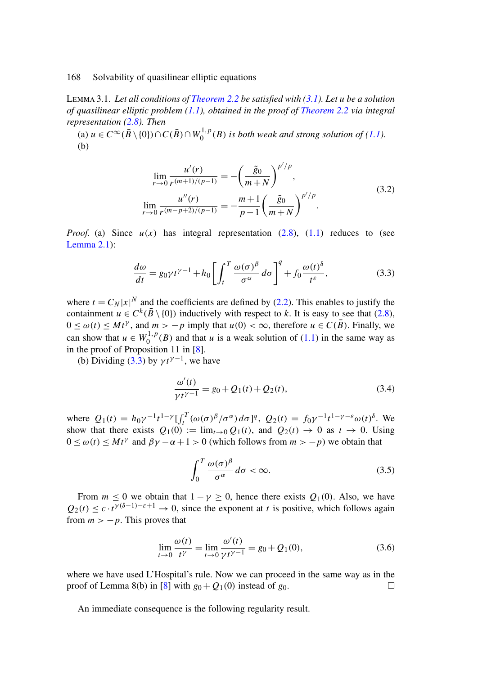Lemma 3.1. *Let all conditions of Theorem 2.2 be satisfied with (3.1). Let* u *be a solution of quasilinear elliptic problem (1.1), obtained in the proof of Theorem 2.2 via integral representation (2.8). Then*

(a)  $u \in C^{\infty}(\bar{B} \setminus \{0\}) \cap C(\bar{B}) \cap W_0^{1,p}(B)$  *is both weak and strong solution of (1.1)*. (b)

$$
\lim_{r \to 0} \frac{u'(r)}{r^{(m+1)/(p-1)}} = -\left(\frac{\tilde{g}_0}{m+N}\right)^{p'/p},
$$
\n
$$
\lim_{r \to 0} \frac{u''(r)}{r^{(m-p+2)/(p-1)}} = -\frac{m+1}{p-1} \left(\frac{\tilde{g}_0}{m+N}\right)^{p'/p}.
$$
\n(3.2)

*Proof.* (a) Since  $u(x)$  has integral representation (2.8), (1.1) reduces to [\(se](#page-3-0)e Lemma 2.1):

$$
\frac{d\omega}{dt} = g_0 \gamma t^{\gamma - 1} + h_0 \left[ \int_t^T \frac{\omega(\sigma)^\beta}{\sigma^\alpha} d\sigma \right]^q + f_0 \frac{\omega(t)^\delta}{t^\epsilon},\tag{3.3}
$$

where  $t = C_N |x|^N$  and the coefficients are defined by (2.2). This enables to justify the containment  $u \in C^k(\overline{B} \setminus \{0\})$  inductively with respect to k. It is easy to see that (2.8),  $0 \le \omega(t) \le Mt^{\gamma}$ , and  $m > -p$  imply that  $u(0) < \infty$ , therefore  $u \in C(\overline{B})$ . Finally, we can show that  $u \in W_0^{1,p}(B)$  and that u is a weak solution of (1.1) in the same way as in the proof of Proposition 11 in [8].

(b) Dividing (3.3) by  $\gamma t^{\gamma-1}$ , we have

$$
\frac{\omega'(t)}{\gamma t^{\gamma - 1}} = g_0 + Q_1(t) + Q_2(t),\tag{3.4}
$$

where  $Q_1(t) = h_0 \gamma^{-1} t^{1-\gamma} \left[ \int_t^T (\omega(\sigma)^\beta / \sigma^\alpha) d\sigma \right]^q$ ,  $Q_2(t) = f_0 \gamma^{-1} t^{1-\gamma-\varepsilon} \omega(t)^\delta$ . We show that there exists  $Q_1(0) := \lim_{t\to 0} Q_1(t)$ , and  $Q_2(t) \to 0$  as  $t \to 0$ . Using  $0 \le \omega(t) \le Mt^{\gamma}$  and  $\beta\gamma - \alpha + 1 > 0$  (which follows from  $m > -p$ ) we obtain that

$$
\int_0^T \frac{\omega(\sigma)^\beta}{\sigma^\alpha} d\sigma < \infty. \tag{3.5}
$$

From  $m \le 0$  we obtain that  $1 - \gamma \ge 0$ , hence there exists  $Q_1(0)$ . Also, we have  $Q_2(t) \leq c \cdot t^{\gamma(\delta-1)-\varepsilon+1} \to 0$ , since the exponent at t is positive, which follows again from  $m > -p$ . This proves that

$$
\lim_{t \to 0} \frac{\omega(t)}{t^{\gamma}} = \lim_{t \to 0} \frac{\omega'(t)}{\gamma t^{\gamma - 1}} = g_0 + Q_1(0),
$$
\n(3.6)

where we have used L'Hospital's rule. Now we can proceed in the same way as in the proof of Lemma 8(b) in [8] with  $g_0 + Q_1(0)$  instead of  $g_0$ .

An immediate consequence is the following regularity result.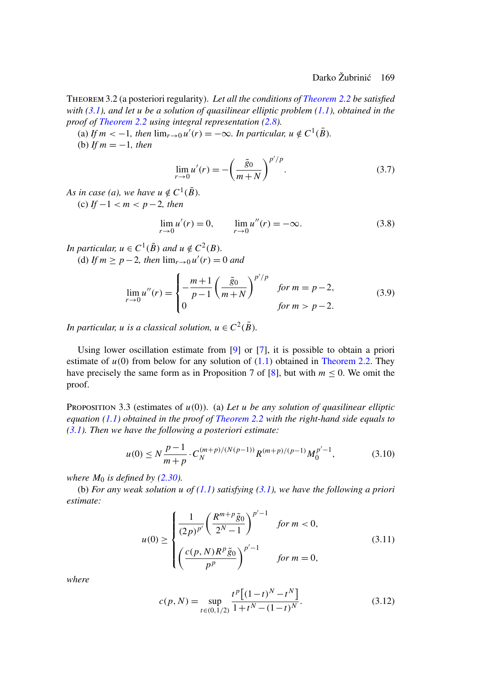<span id="page-10-0"></span>Theorem 3.2 (a posteriori regularity). *Let all the conditions of Theorem 2.2 be satisfied with (3.1), and let* u *be a solution of quasilinear elliptic problem (1.1), obtained in the proof of Theorem 2.2 using integral representation (2.8).*

(a) If  $m < -1$ , then  $\lim_{r \to 0} u'(r) = -\infty$ . In particular,  $u \notin C^1(\overline{B})$ .

(b) *If*  $m = -1$ *, then* 

$$
\lim_{r \to 0} u'(r) = -\left(\frac{\tilde{g}_0}{m+N}\right)^{p'/p}.
$$
\n(3.7)

*As in case (a), we have*  $u \notin C^1(\overline{B})$ *.* (c)  $If -1 < m < p-2$ , then

$$
\lim_{r \to 0} u'(r) = 0, \qquad \lim_{r \to 0} u''(r) = -\infty.
$$
 (3.8)

*In particular,*  $u \in C^1(\overline{B})$  *and*  $u \notin C^2(B)$ *.* 

(d) If  $m \ge p - 2$ , then  $\lim_{r \to 0} u'(r) = 0$  and

$$
\lim_{r \to 0} u''(r) = \begin{cases} -\frac{m+1}{p-1} \left( \frac{\tilde{g}_0}{m+N} \right)^{p'/p} & \text{for } m = p-2, \\ 0 & \text{for } m > p-2. \end{cases}
$$
(3.9)

*In particular, u is a classical solution,*  $u \in C^2(\overline{B})$ *.* 

[U](#page-8-0)sing lower oscillation estimate from [9] or [7], it is possible to obtain a priori estimate of  $u(0)$  from below for any solution of  $(1.1)$  obtained in Theorem 2.2. They have precisely the same form as in Proposition 7 of [8], but with  $m \le 0$ . We omit the proof.

Proposition 3.3 (estim[ates](#page-8-0) [o](#page-8-0)f u(0)[\).](#page-0-0) (a) *Let* u *b[e any](#page-8-0) solution of quasilinear elliptic equation (1.1) obtained in the proof of Theorem 2.2 with the right-hand side equals to (3.1). Then we have the following a posteriori estimate:*

$$
u(0) \le N \frac{p-1}{m+p} \cdot C_N^{(m+p)/(N(p-1))} R^{(m+p)/(p-1)} M_0^{p'-1}, \tag{3.10}
$$

*where*  $M_0$  *is defined by (2.30).* 

(b) *For any weak solution* u *of (1.1) satisfying (3.1), we have the following a priori estimate:*

$$
u(0) \ge \begin{cases} \frac{1}{(2p)^{p'}} \left(\frac{R^{m+p}\tilde{g}_0}{2^N-1}\right)^{p'-1} & \text{for } m < 0, \\ \left(\frac{c(p,N)R^p\tilde{g}_0}{p^p}\right)^{p'-1} & \text{for } m = 0, \end{cases}
$$
(3.11)

*where*

$$
c(p, N) = \sup_{t \in (0, 1/2)} \frac{t^p [(1-t)^N - t^N]}{1 + t^N - (1-t)^N}.
$$
 (3.12)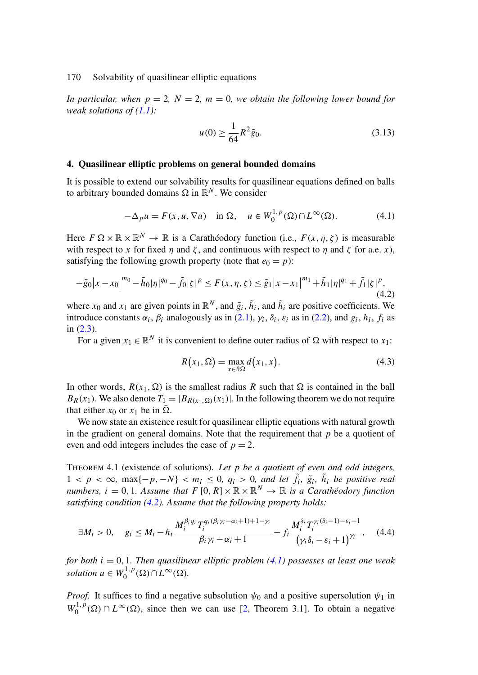<span id="page-11-0"></span>*In particular, when*  $p = 2$ ,  $N = 2$ ,  $m = 0$ , we obtain the following lower bound for *weak solutions of (1.1):*

$$
u(0) \ge \frac{1}{64} R^2 \tilde{g}_0.
$$
 (3.13)

#### **4. Quasilinear elliptic problems on general bounded domains**

It is possible to extend our solvability results for quasilinear equations defined on balls to arbitrary bounded domains  $\Omega$  in  $\mathbb{R}^N$ . We consider

$$
-\Delta_p u = F(x, u, \nabla u) \quad \text{in } \Omega, \quad u \in W_0^{1, p}(\Omega) \cap L^{\infty}(\Omega). \tag{4.1}
$$

Here  $F \Omega \times \mathbb{R} \times \mathbb{R}^N \to \mathbb{R}$  is a Carathéodor[y fu](#page-3-0)nction (i.e.,  $F(x, \eta, \zeta)$  is measurable wi[th re](#page-3-0)spect to x for fixed  $\eta$  and  $\zeta$ , and continuous with respect to  $\eta$  and  $\zeta$  for a.e. x), satisfying the following growth property (note that  $e_0 = p$ ):

$$
-\tilde{g}_0|x-x_0|^{m_0} - \tilde{h}_0|\eta|^{q_0} - \tilde{f}_0|\zeta|^p \le F(x,\eta,\zeta) \le \tilde{g}_1|x-x_1|^{m_1} + \tilde{h}_1|\eta|^{q_1} + \tilde{f}_1|\zeta|^p,
$$
\n(4.2)

where  $x_0$  and  $x_1$  are given points in  $\mathbb{R}^N$ , and  $\tilde{g}_i$ ,  $\tilde{h}_i$ , and  $\tilde{h}_i$  are positive coefficients. We introduce constants  $\alpha_i$ ,  $\beta_i$  analogously as in (2.1),  $\gamma_i$ ,  $\delta_i$ ,  $\varepsilon_i$  as in (2.2), and  $g_i$ ,  $h_i$ ,  $f_i$  as in (2.3).

For a given  $x_1 \in \mathbb{R}^N$  it is convenient to define outer radius of  $\Omega$  with respect to  $x_1$ :

$$
R(x_1, \Omega) = \max_{x \in \partial \Omega} d(x_1, x). \tag{4.3}
$$

In other words,  $R(x_1, \Omega)$  is the smallest radius R such that  $\Omega$  is contained in the ball  $B_R(x_1)$ . We also denote  $T_1 = |B_{R(x_1, \Omega)}(x_1)|$ . In the following theorem we do not require that either  $x_0$  or  $x_1$  be in  $\overline{\Omega}$ .

We now state an existence result for quasilinear elliptic equations with natural growth in the gradient on general domains. Note that the requirement that  $p$  be a quotient of even and odd integers includes the case of  $p = 2$ .

Theorem 4.1 (existence of solutions). *Let* p *be a quotient of even and odd integers,*  $1 < p < \infty$ , max $\{-p, -N\} < m_i \leq 0$ ,  $q_i > 0$ , and let  $\tilde{f}_i$ ,  $\tilde{g}_i$ ,  $\tilde{h}_i$  be positive real *numbers,*  $i = 0, 1$ *. Assume that*  $F[0, R] \times \mathbb{R} \times \mathbb{R}^N \rightarrow \mathbb{R}$  *is a Carathéodory function satisfying condition (4.2). Assume that the following property holds:*

$$
\exists M_i > 0, \quad g_i \le M_i - h_i \frac{M_i^{\beta_i q_i} T_i^{q_i(\beta_i \gamma_i - \alpha_i + 1) + 1 - \gamma_i}}{\beta_i \gamma_i - \alpha_i + 1} - f_i \frac{M_i^{\delta_i} T_i^{\gamma_i(\delta_i - 1) - \varepsilon_i + 1}}{(\gamma_i \delta_i - \varepsilon_i + 1)^{\gamma_i}}, \quad (4.4)
$$

*for both*  $i = 0, 1$ *. Then quasilinear elliptic problem (4.1) possesses at least one weak solution*  $u \in W_0^{1,p}(\Omega) \cap L^{\infty}(\Omega)$ .

*Proof.* It suffices to find a negative subsolution  $\psi_0$  and a positive supersolution  $\psi_1$  in  $W_0^{1,p}(\Omega) \cap L^{\infty}(\Omega)$ , since then we can use [2, Theorem 3.1]. To obtain a negative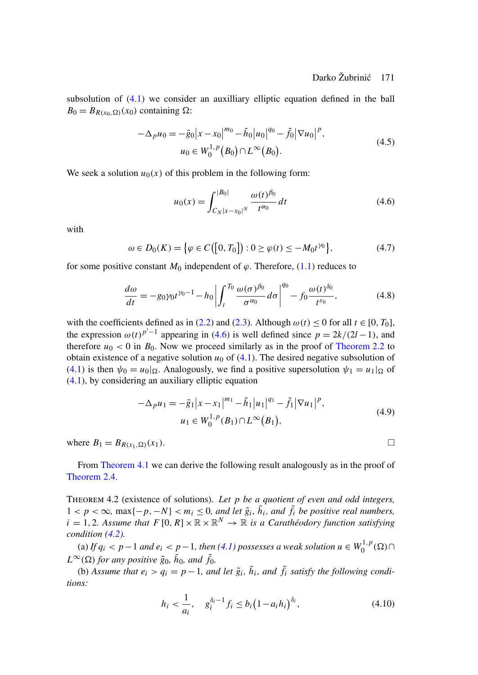subsolution of (4.1) we consider an auxilliary elliptic equation defined in the ball  $B_0 = B_{R(x_0, \Omega)}(x_0)$  containing  $\Omega$ :

$$
-\Delta_p u_0 = -\tilde{g}_0 |x - x_0|^{m_0} - \tilde{h}_0 |u_0|^{q_0} - \tilde{f}_0 |\nabla u_0|^p,
$$
  
\n
$$
u_0 \in W_0^{1,p}(B_0) \cap L^\infty(B_0).
$$
\n(4.5)

We seek a solution  $u_0(x)$  of this problem in the following form:

$$
u_0(x) = \int_{C_N |x - x_0|^N}^{|B_0|} \frac{\omega(t)^{\beta_0}}{t^{\alpha_0}} dt
$$
 (4.6)

with

$$
\omega \in D_0(K) = \{ \varphi \in C([0, T_0]) : 0 \ge \varphi(t) \le -M_0 t^{\gamma_0} \},\tag{4.7}
$$

for some positive constant  $M_0$  independent of  $\varphi$ . Therefore, (1.1) redu[ces to](#page-4-0)

$$
\frac{d\omega}{dt} = -g_0 \gamma_0 t^{\gamma_0 - 1} - h_0 \left| \int_t^{T_0} \frac{\omega(\sigma)^{\beta_0}}{\sigma^{\alpha_0}} d\sigma \right|^{q_0} - f_0 \frac{\omega(t)^{\delta_0}}{t^{\varepsilon_0}},\tag{4.8}
$$

with the coefficients defined as in (2.2) and (2.3). Although  $\omega(t) \le 0$  for all  $t \in [0, T_0]$ , the expression  $\omega(t)^{p'-1}$  appearing in (4.6) is well defined since  $p = 2k/(2l-1)$ , and therefore  $u_0 < 0$  in  $B_0$ . Now we proceed similarly as in the proof of Theorem 2.2 to obtain existence of a negative solution  $u_0$  of (4.1). The desired negative subsolution of (4.1) is then  $\psi_0 = u_0|_{\Omega}$ . Analogously, we find a positive supersolution  $\psi_1 = u_1|_{\Omega}$  of (4.1), by [considering a](#page-11-0)n auxiliary elliptic equation

$$
-\Delta_p u_1 = -\tilde{g}_1 |x - x_1|^{m_1} - \tilde{h}_1 |u_1|^{q_1} - \tilde{f}_1 |\nabla u_1|^p,
$$
  
\n
$$
u_1 \in W_0^{1,p}(B_1) \cap L^\infty(B_1),
$$
\n(4.9)

where  $B_1 = B_{R(x_1, \Omega)}(x_1)$ .

From Theorem 4.1 we can derive the [follo](#page-11-0)wing result analogously as in the proof of Theorem 2.4.

Theorem 4.2 (existence of solutions). *Let* p *be a quotient of even and odd integers,*  $1 < p < \infty$ , max $\{-p, -N\} < m_i \leq 0$ , and let  $\tilde{g}_i$ ,  $\tilde{h}_i$ , and  $\tilde{f}_i$  be positive real numbers,  $i = 1, 2$ . Assume that  $F[0, R] \times \mathbb{R} \times \mathbb{R}^N \to \mathbb{R}$  *is a Carathéodory function satisfying condition (4.2).*

(a) If  $q_i$  < p − 1 and  $e_i$  < p − 1, then (4.1) possesses a weak solution  $u \in W_0^{1,p}(\Omega) \cap$  $L^{\infty}(\Omega)$  for any positive  $\tilde{g}_0$ ,  $\tilde{h}_0$ , and  $\tilde{f}_0$ .

(b) Assume that  $e_i > q_i = p - 1$ , and let  $\tilde{g}_i$ ,  $\tilde{h}_i$ , and  $\tilde{f}_i$  satisfy the following condi*tions:*

$$
h_i < \frac{1}{a_i}, \quad g_i^{\delta_i - 1} f_i \le b_i \left( 1 - a_i h_i \right)^{\delta_i},\tag{4.10}
$$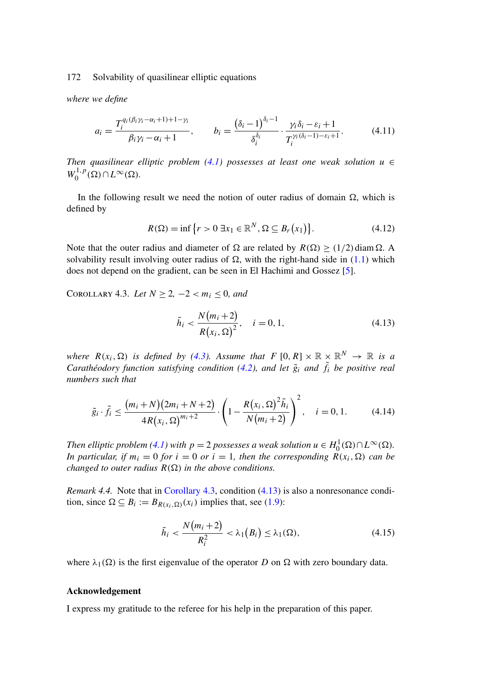*where we define*

$$
a_i = \frac{T_i^{q_i(\beta_i \gamma_i - \alpha_i + 1) + 1 - \gamma_i}}{\beta_i \gamma_i - \alpha_i + 1}, \qquad b_i = \frac{(\delta_i - 1)^{\delta_i - 1}}{\delta_i^{\delta_i}} \cdot \frac{\gamma_i \delta_i - \varepsilon_i + 1}{T_i^{\gamma_i(\delta_i - 1) - \varepsilon_i + 1}}.
$$
(4.11)

*Then quasilinear elliptic problem (4.1) possesses at least one weak solution*  $u$  ∈  $W_0^{1,p}(\Omega) \cap L^{\infty}(\Omega)$ .

In the following result we need the notion of outer radius of domain  $\Omega$ , which is defined by

$$
R(\Omega) = \inf \left\{ r > 0 \, \exists x_1 \in \mathbb{R}^N, \Omega \subseteq B_r(x_1) \right\}. \tag{4.12}
$$

Note that the outer radius and diameter of  $\Omega$  are related by  $R(\Omega) \ge (1/2) \text{diam } \Omega$ . A solvability result involving outer radius of  $\Omega$ , with the right-hand side in (1.1) which does not depend on the gradient, [can](#page-11-0) be seen in El Hachimi and Gossez [5].

COROLLARY 4.3. *Let*  $N \ge 2, -2 < m_i \le 0$ *, a[nd](#page-11-0)* 

$$
\tilde{h}_i < \frac{N(m_i + 2)}{R(x_i, \Omega)^2}, \quad i = 0, 1,\tag{4.13}
$$

*where*  $R(x_i, \Omega)$  *is defined by (4.3). Assume that*  $F [0, R] \times \mathbb{R} \times \mathbb{R}^N \rightarrow \mathbb{R}$  *is a Carathéodory functio[n sa](#page-11-0)tisfying condition (4.2), and let*  $\tilde{g}_i$  *and*  $\tilde{f}_i$  *be positive real numbers such that*

$$
\tilde{g}_i \cdot \tilde{f}_i \le \frac{(m_i + N)(2m_i + N + 2)}{4R(x_i, \Omega)^{m_i + 2}} \cdot \left(1 - \frac{R(x_i, \Omega)^2 \tilde{h}_i}{N(m_i + 2)}\right)^2, \quad i = 0, 1.
$$
 (4.14)

*Then elliptic problem* (4.1) with  $p = 2$  possesses a weak solution  $u \in H_0^1(\Omega) \cap L^\infty(\Omega)$ . *In particular, if*  $m_i = 0$  *for*  $i = 0$  *or*  $i = 1$ *, then the corresponding*  $R(x_i, \Omega)$  *can be changed to outer radius*  $R(\Omega)$  *in the above conditions.* 

*Remark 4.4.* Note that in Corollary 4.3, condition (4.13) is also a nonresonance condition, since  $\Omega \subseteq B_i := B_{R(x_i,\Omega)}(x_i)$  implies that, see (1.9):

$$
\tilde{h}_i < \frac{N(m_i + 2)}{R_i^2} < \lambda_1(B_i) \le \lambda_1(\Omega),\tag{4.15}
$$

where  $\lambda_1(\Omega)$  is the first eigenvalue of the operator D on  $\Omega$  with zero boundary data.

#### **Acknowledgement**

I express my gratitude to the referee for his help in the preparation of this paper.